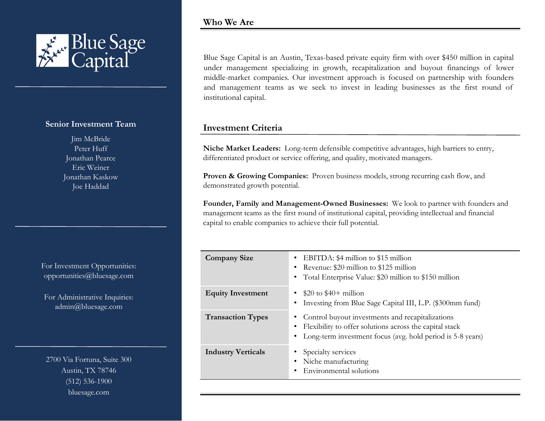

## **Senior Investment Team**

Jim McBride Peter Huff Jonathan Pearce Eric Weiner Jonathan Kaskow Joe Haddad

For Investment Opportunities: opportunities@bluesage.com

For Administrative Inquiries: admin@bluesage.com

2700 Via Fortuna, Suite 300 Austin, TX 78746 (512) 536-1900 bluesage.com

Blue Sage Capital is an Austin, Texas-based private equity firm with over \$450 million in capital under management specializing in growth, recapitalization and buyout financings of lower middle-market companies. Our investment approach is focused on partnership with founders and management teams as we seek to invest in leading businesses as the first round of institutional capital.

## **Investment Criteria**

**Niche Market Leaders:** Long-term defensible competitive advantages, high barriers to entry, differentiated product or service offering, and quality, motivated managers.

**Proven & Growing Companies:** Proven business models, strong recurring cash flow, and demonstrated growth potential.

**Founder, Family and Management-Owned Businesses:** We look to partner with founders and management teams as the first round of institutional capital, providing intellectual and financial capital to enable companies to achieve their full potential.

| <b>Company Size</b>       | EBITDA: \$4 million to \$15 million<br>Revenue: \$20 million to \$125 million<br>Total Enterprise Value: \$20 million to \$150 million                                    |  |
|---------------------------|---------------------------------------------------------------------------------------------------------------------------------------------------------------------------|--|
| <b>Equity Investment</b>  | $$20$ to $$40+$ million<br>Investing from Blue Sage Capital III, L.P. (\$300mm fund)                                                                                      |  |
| <b>Transaction Types</b>  | Control buyout investments and recapitalizations<br>Flexibility to offer solutions across the capital stack<br>Long-term investment focus (avg. hold period is 5-8 years) |  |
| <b>Industry Verticals</b> | Specialty services<br>Niche manufacturing<br>Environmental solutions                                                                                                      |  |